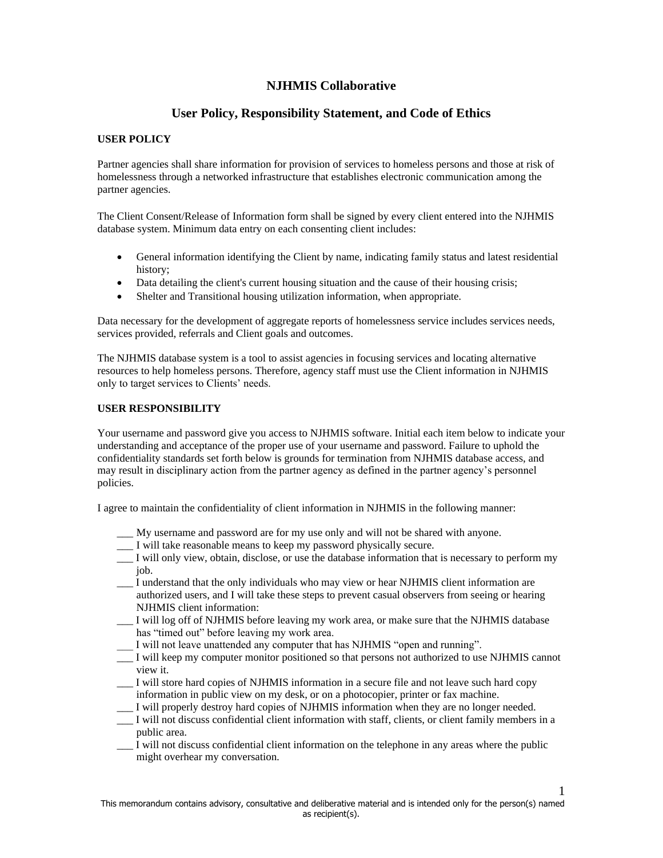# **NJHMIS Collaborative**

# **User Policy, Responsibility Statement, and Code of Ethics**

### **USER POLICY**

Partner agencies shall share information for provision of services to homeless persons and those at risk of homelessness through a networked infrastructure that establishes electronic communication among the partner agencies.

The Client Consent/Release of Information form shall be signed by every client entered into the NJHMIS database system. Minimum data entry on each consenting client includes:

- General information identifying the Client by name, indicating family status and latest residential history;
- Data detailing the client's current housing situation and the cause of their housing crisis;
- Shelter and Transitional housing utilization information, when appropriate.

Data necessary for the development of aggregate reports of homelessness service includes services needs, services provided, referrals and Client goals and outcomes.

The NJHMIS database system is a tool to assist agencies in focusing services and locating alternative resources to help homeless persons. Therefore, agency staff must use the Client information in NJHMIS only to target services to Clients' needs.

#### **USER RESPONSIBILITY**

Your username and password give you access to NJHMIS software. Initial each item below to indicate your understanding and acceptance of the proper use of your username and password. Failure to uphold the confidentiality standards set forth below is grounds for termination from NJHMIS database access, and may result in disciplinary action from the partner agency as defined in the partner agency's personnel policies.

I agree to maintain the confidentiality of client information in NJHMIS in the following manner:

- \_\_\_ My username and password are for my use only and will not be shared with anyone.
- \_\_\_ I will take reasonable means to keep my password physically secure.
- \_\_\_ I will only view, obtain, disclose, or use the database information that is necessary to perform my job.
- \_\_\_ I understand that the only individuals who may view or hear NJHMIS client information are authorized users, and I will take these steps to prevent casual observers from seeing or hearing NJHMIS client information:
- \_\_\_ I will log off of NJHMIS before leaving my work area, or make sure that the NJHMIS database has "timed out" before leaving my work area.
- I will not leave unattended any computer that has NJHMIS "open and running".
- \_\_\_ I will keep my computer monitor positioned so that persons not authorized to use NJHMIS cannot view it.
- \_\_\_ I will store hard copies of NJHMIS information in a secure file and not leave such hard copy information in public view on my desk, or on a photocopier, printer or fax machine.
- \_\_\_ I will properly destroy hard copies of NJHMIS information when they are no longer needed.
- \_\_\_ I will not discuss confidential client information with staff, clients, or client family members in a public area.
- \_\_\_ I will not discuss confidential client information on the telephone in any areas where the public might overhear my conversation.

1